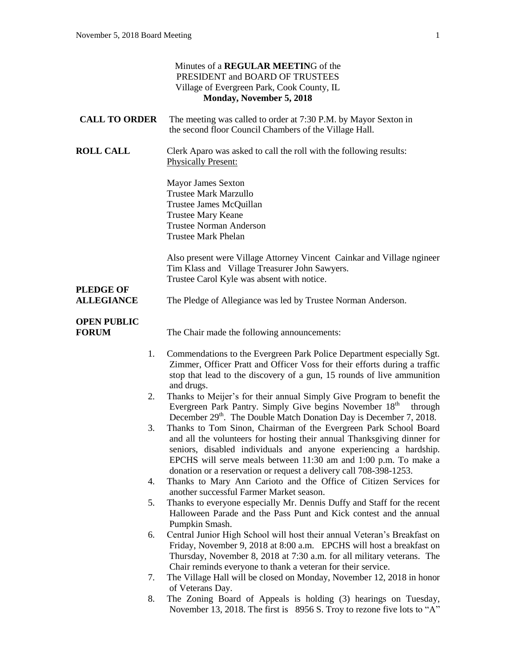| Minutes of a REGULAR MEETING of the<br>PRESIDENT and BOARD OF TRUSTEES<br>Village of Evergreen Park, Cook County, IL<br>Monday, November 5, 2018 |                                                                                                                                                                                                                                                                                                                                                           |  |
|--------------------------------------------------------------------------------------------------------------------------------------------------|-----------------------------------------------------------------------------------------------------------------------------------------------------------------------------------------------------------------------------------------------------------------------------------------------------------------------------------------------------------|--|
| <b>CALL TO ORDER</b>                                                                                                                             | The meeting was called to order at 7:30 P.M. by Mayor Sexton in<br>the second floor Council Chambers of the Village Hall.                                                                                                                                                                                                                                 |  |
| <b>ROLL CALL</b>                                                                                                                                 | Clerk Aparo was asked to call the roll with the following results:<br><b>Physically Present:</b>                                                                                                                                                                                                                                                          |  |
|                                                                                                                                                  | <b>Mayor James Sexton</b><br><b>Trustee Mark Marzullo</b><br>Trustee James McQuillan<br><b>Trustee Mary Keane</b><br><b>Trustee Norman Anderson</b><br><b>Trustee Mark Phelan</b>                                                                                                                                                                         |  |
|                                                                                                                                                  | Also present were Village Attorney Vincent Cainkar and Village ngineer<br>Tim Klass and Village Treasurer John Sawyers.<br>Trustee Carol Kyle was absent with notice.                                                                                                                                                                                     |  |
| <b>PLEDGE OF</b><br><b>ALLEGIANCE</b>                                                                                                            | The Pledge of Allegiance was led by Trustee Norman Anderson.                                                                                                                                                                                                                                                                                              |  |
| <b>OPEN PUBLIC</b><br><b>FORUM</b>                                                                                                               | The Chair made the following announcements:                                                                                                                                                                                                                                                                                                               |  |
| 1.                                                                                                                                               | Commendations to the Evergreen Park Police Department especially Sgt.<br>Zimmer, Officer Pratt and Officer Voss for their efforts during a traffic<br>stop that lead to the discovery of a gun, 15 rounds of live ammunition                                                                                                                              |  |
| 2.                                                                                                                                               | and drugs.<br>Thanks to Meijer's for their annual Simply Give Program to benefit the<br>Evergreen Park Pantry. Simply Give begins November 18th<br>through<br>December 29 <sup>th</sup> . The Double Match Donation Day is December 7, 2018.                                                                                                              |  |
| 3.                                                                                                                                               | Thanks to Tom Sinon, Chairman of the Evergreen Park School Board<br>and all the volunteers for hosting their annual Thanksgiving dinner for<br>seniors, disabled individuals and anyone experiencing a hardship.<br>EPCHS will serve meals between 11:30 am and 1:00 p.m. To make a<br>donation or a reservation or request a delivery call 708-398-1253. |  |
| 4.                                                                                                                                               | Thanks to Mary Ann Carioto and the Office of Citizen Services for<br>another successful Farmer Market season.                                                                                                                                                                                                                                             |  |
| 5.                                                                                                                                               | Thanks to everyone especially Mr. Dennis Duffy and Staff for the recent<br>Halloween Parade and the Pass Punt and Kick contest and the annual<br>Pumpkin Smash.                                                                                                                                                                                           |  |
| 6.                                                                                                                                               | Central Junior High School will host their annual Veteran's Breakfast on<br>Friday, November 9, 2018 at 8:00 a.m. EPCHS will host a breakfast on<br>Thursday, November 8, 2018 at 7:30 a.m. for all military veterans. The<br>Chair reminds everyone to thank a veteran for their service.                                                                |  |
| 7.                                                                                                                                               | The Village Hall will be closed on Monday, November 12, 2018 in honor                                                                                                                                                                                                                                                                                     |  |
| 8.                                                                                                                                               | of Veterans Day.<br>The Zoning Board of Appeals is holding (3) hearings on Tuesday,<br>November 13, 2018. The first is 8956 S. Troy to rezone five lots to "A"                                                                                                                                                                                            |  |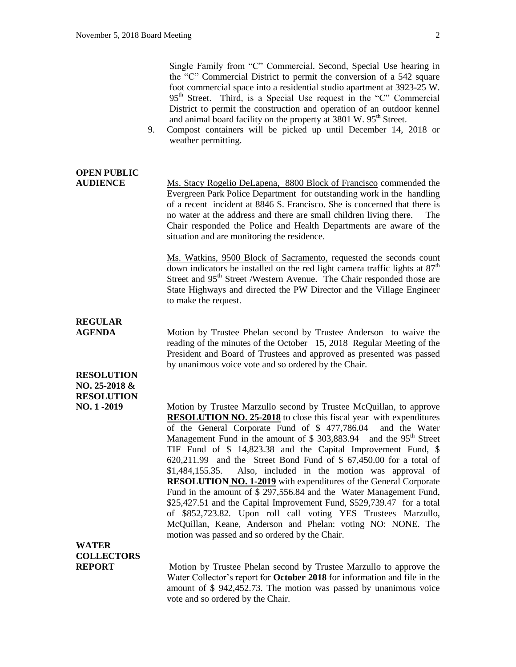Single Family from "C" Commercial. Second, Special Use hearing in the "C" Commercial District to permit the conversion of a 542 square foot commercial space into a residential studio apartment at 3923-25 W. 95<sup>th</sup> Street. Third, is a Special Use request in the "C" Commercial District to permit the construction and operation of an outdoor kennel and animal board facility on the property at 3801 W. 95<sup>th</sup> Street.

9. Compost containers will be picked up until December 14, 2018 or weather permitting.

# **OPEN PUBLIC**

**AUDIENCE** Ms. Stacy Rogelio DeLapena, 8800 Block of Francisco commended the Evergreen Park Police Department for outstanding work in the handling of a recent incident at 8846 S. Francisco. She is concerned that there is no water at the address and there are small children living there. The Chair responded the Police and Health Departments are aware of the situation and are monitoring the residence.

> Ms. Watkins, 9500 Block of Sacramento, requested the seconds count down indicators be installed on the red light camera traffic lights at  $87<sup>th</sup>$ Street and 95<sup>th</sup> Street /Western Avenue. The Chair responded those are State Highways and directed the PW Director and the Village Engineer to make the request.

## **REGULAR**

**RESOLUTION NO. 25-2018 & RESOLUTION**

**AGENDA** Motion by Trustee Phelan second by Trustee Anderson to waive the reading of the minutes of the October 15, 2018 Regular Meeting of the President and Board of Trustees and approved as presented was passed by unanimous voice vote and so ordered by the Chair.

**NO. 1 -2019** Motion by Trustee Marzullo second by Trustee McQuillan, to approve **RESOLUTION NO. 25-2018** to close this fiscal year with expenditures of the General Corporate Fund of \$ 477,786.04 and the Water Management Fund in the amount of  $$303,883.94$  and the  $95<sup>th</sup>$  Street TIF Fund of \$ 14,823.38 and the Capital Improvement Fund, \$ 620,211.99 and the Street Bond Fund of \$ 67,450.00 for a total of \$1,484,155.35. Also, included in the motion was approval of **RESOLUTION NO. 1-2019** with expenditures of the General Corporate Fund in the amount of \$ 297,556.84 and the Water Management Fund, \$25,427.51 and the Capital Improvement Fund, \$529,739.47 for a total of \$852,723.82. Upon roll call voting YES Trustees Marzullo, McQuillan, Keane, Anderson and Phelan: voting NO: NONE. The motion was passed and so ordered by the Chair.

### **WATER COLLECTORS**

**REPORT** Motion by Trustee Phelan second by Trustee Marzullo to approve the Water Collector's report for **October 2018** for information and file in the amount of \$ 942,452.73. The motion was passed by unanimous voice vote and so ordered by the Chair.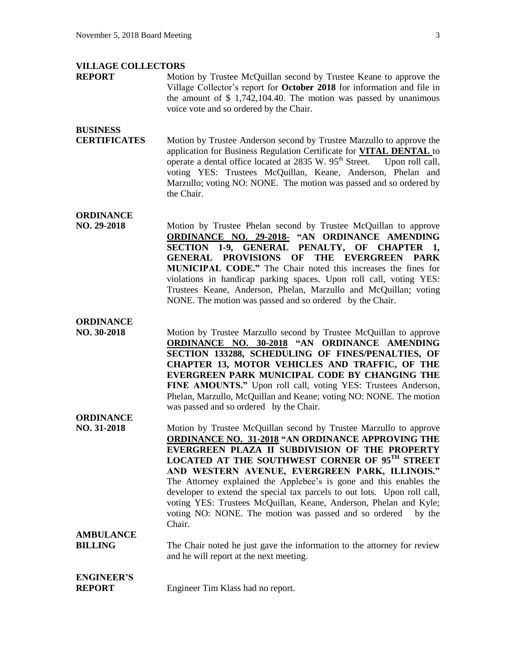#### **VILLAGE COLLECTORS**

**REPORT** Motion by Trustee McQuillan second by Trustee Keane to approve the Village Collector's report for **October 2018** for information and file in the amount of \$ 1,742,104.40. The motion was passed by unanimous voice vote and so ordered by the Chair.

#### **BUSINESS**

**CERTIFICATES** Motion by Trustee Anderson second by Trustee Marzullo to approve the application for Business Regulation Certificate for **VITAL DENTAL** to operate a dental office located at 2835 W. 95<sup>th</sup> Street. Upon roll call, voting YES: Trustees McQuillan, Keane, Anderson, Phelan and Marzullo; voting NO: NONE. The motion was passed and so ordered by the Chair.

#### **ORDINANCE**

**NO. 29-2018** Motion by Trustee Phelan second by Trustee McQuillan to approve **ORDINANCE NO. 29-2018- "AN ORDINANCE AMENDING SECTION 1-9, GENERAL PENALTY, OF CHAPTER 1, GENERAL PROVISIONS OF THE EVERGREEN PARK MUNICIPAL CODE."** The Chair noted this increases the fines for violations in handicap parking spaces. Upon roll call, voting YES: Trustees Keane, Anderson, Phelan, Marzullo and McQuillan; voting NONE. The motion was passed and so ordered by the Chair.

#### **ORDINANCE**

**ORDINANCE**

**NO. 30-2018** Motion by Trustee Marzullo second by Trustee McQuillan to approve **ORDINANCE NO. 30-2018 "AN ORDINANCE AMENDING SECTION 133288, SCHEDULING OF FINES/PENALTIES, OF CHAPTER 13, MOTOR VEHICLES AND TRAFFIC, OF THE EVERGREEN PARK MUNICIPAL CODE BY CHANGING THE FINE AMOUNTS."** Upon roll call, voting YES: Trustees Anderson, Phelan, Marzullo, McQuillan and Keane; voting NO: NONE. The motion was passed and so ordered by the Chair.

#### **NO. 31-2018** Motion by Trustee McQuillan second by Trustee Marzullo to approve **ORDINANCE NO. 31-2018 "AN ORDINANCE APPROVING THE EVERGREEN PLAZA II SUBDIVISION OF THE PROPERTY LOCATED AT THE SOUTHWEST CORNER OF 95TH STREET AND WESTERN AVENUE, EVERGREEN PARK, ILLINOIS."**  The Attorney explained the Applebee's is gone and this enables the developer to extend the special tax parcels to out lots. Upon roll call, voting YES: Trustees McQuillan, Keane, Anderson, Phelan and Kyle; voting NO: NONE. The motion was passed and so ordered by the Chair. **AMBULANCE**

**BILLING** The Chair noted he just gave the information to the attorney for review and he will report at the next meeting.

#### **ENGINEER'S REPORT** Engineer Tim Klass had no report.